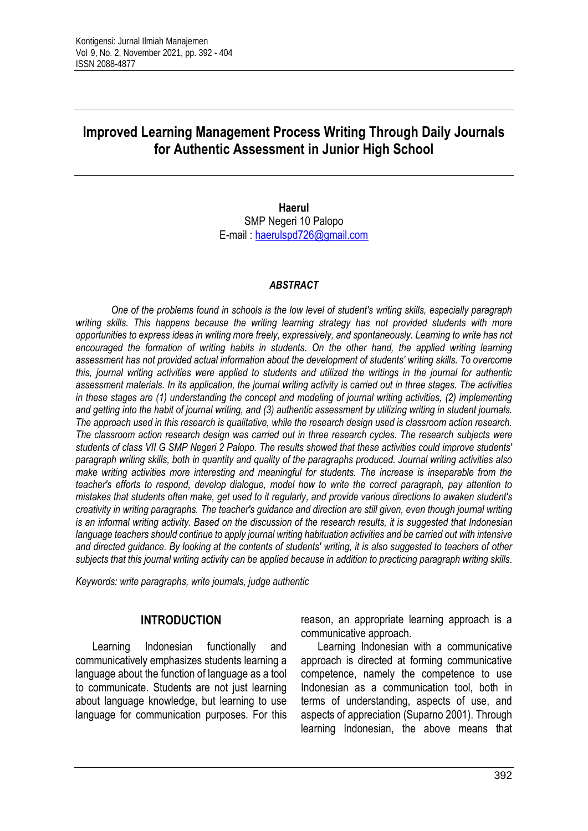# **Improved Learning Management Process Writing Through Daily Journals for Authentic Assessment in Junior High School**

**Haerul** SMP Negeri 10 Palopo E-mail : [haerulspd726@gmail.com](mailto:haerulspd726@gmail.com)

#### *ABSTRACT*

*One of the problems found in schools is the low level of student's writing skills, especially paragraph writing skills. This happens because the writing learning strategy has not provided students with more opportunities to express ideas in writing more freely, expressively, and spontaneously. Learning to write has not*  encouraged the formation of writing habits in students. On the other hand, the applied writing learning *assessment has not provided actual information about the development of students' writing skills. To overcome this, journal writing activities were applied to students and utilized the writings in the journal for authentic assessment materials. In its application, the journal writing activity is carried out in three stages. The activities in these stages are (1) understanding the concept and modeling of journal writing activities, (2) implementing and getting into the habit of journal writing, and (3) authentic assessment by utilizing writing in student journals. The approach used in this research is qualitative, while the research design used is classroom action research. The classroom action research design was carried out in three research cycles. The research subjects were students of class VII G SMP Negeri 2 Palopo. The results showed that these activities could improve students' paragraph writing skills, both in quantity and quality of the paragraphs produced. Journal writing activities also make writing activities more interesting and meaningful for students. The increase is inseparable from the teacher's efforts to respond, develop dialogue, model how to write the correct paragraph, pay attention to mistakes that students often make, get used to it regularly, and provide various directions to awaken student's creativity in writing paragraphs. The teacher's guidance and direction are still given, even though journal writing is an informal writing activity. Based on the discussion of the research results, it is suggested that Indonesian* language teachers should continue to apply journal writing habituation activities and be carried out with intensive *and directed guidance. By looking at the contents of students' writing, it is also suggested to teachers of other subjects that this journal writing activity can be applied because in addition to practicing paragraph writing skills.*

*Keywords: write paragraphs, write journals, judge authentic*

#### **INTRODUCTION**

Learning Indonesian functionally and communicatively emphasizes students learning a language about the function of language as a tool to communicate. Students are not just learning about language knowledge, but learning to use language for communication purposes. For this

reason, an appropriate learning approach is a communicative approach.

Learning Indonesian with a communicative approach is directed at forming communicative competence, namely the competence to use Indonesian as a communication tool, both in terms of understanding, aspects of use, and aspects of appreciation (Suparno 2001). Through learning Indonesian, the above means that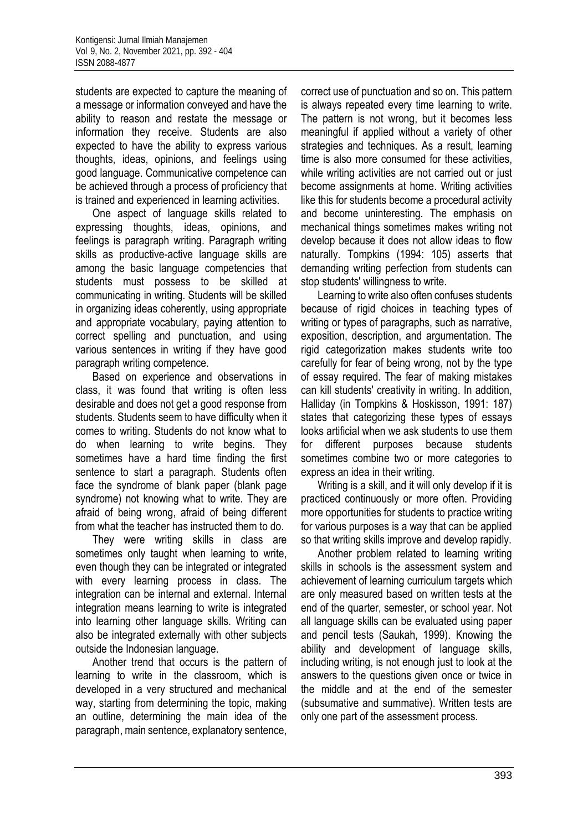students are expected to capture the meaning of a message or information conveyed and have the ability to reason and restate the message or information they receive. Students are also expected to have the ability to express various thoughts, ideas, opinions, and feelings using good language. Communicative competence can be achieved through a process of proficiency that is trained and experienced in learning activities.

One aspect of language skills related to expressing thoughts, ideas, opinions, and feelings is paragraph writing. Paragraph writing skills as productive-active language skills are among the basic language competencies that students must possess to be skilled at communicating in writing. Students will be skilled in organizing ideas coherently, using appropriate and appropriate vocabulary, paying attention to correct spelling and punctuation, and using various sentences in writing if they have good paragraph writing competence.

Based on experience and observations in class, it was found that writing is often less desirable and does not get a good response from students. Students seem to have difficulty when it comes to writing. Students do not know what to do when learning to write begins. They sometimes have a hard time finding the first sentence to start a paragraph. Students often face the syndrome of blank paper (blank page syndrome) not knowing what to write. They are afraid of being wrong, afraid of being different from what the teacher has instructed them to do.

They were writing skills in class are sometimes only taught when learning to write, even though they can be integrated or integrated with every learning process in class. The integration can be internal and external. Internal integration means learning to write is integrated into learning other language skills. Writing can also be integrated externally with other subjects outside the Indonesian language.

Another trend that occurs is the pattern of learning to write in the classroom, which is developed in a very structured and mechanical way, starting from determining the topic, making an outline, determining the main idea of the paragraph, main sentence, explanatory sentence, correct use of punctuation and so on. This pattern is always repeated every time learning to write. The pattern is not wrong, but it becomes less meaningful if applied without a variety of other strategies and techniques. As a result, learning time is also more consumed for these activities, while writing activities are not carried out or just become assignments at home. Writing activities like this for students become a procedural activity and become uninteresting. The emphasis on mechanical things sometimes makes writing not develop because it does not allow ideas to flow naturally. Tompkins (1994: 105) asserts that demanding writing perfection from students can stop students' willingness to write.

Learning to write also often confuses students because of rigid choices in teaching types of writing or types of paragraphs, such as narrative, exposition, description, and argumentation. The rigid categorization makes students write too carefully for fear of being wrong, not by the type of essay required. The fear of making mistakes can kill students' creativity in writing. In addition, Halliday (in Tompkins & Hoskisson, 1991: 187) states that categorizing these types of essays looks artificial when we ask students to use them for different purposes because students sometimes combine two or more categories to express an idea in their writing.

Writing is a skill, and it will only develop if it is practiced continuously or more often. Providing more opportunities for students to practice writing for various purposes is a way that can be applied so that writing skills improve and develop rapidly.

Another problem related to learning writing skills in schools is the assessment system and achievement of learning curriculum targets which are only measured based on written tests at the end of the quarter, semester, or school year. Not all language skills can be evaluated using paper and pencil tests (Saukah, 1999). Knowing the ability and development of language skills, including writing, is not enough just to look at the answers to the questions given once or twice in the middle and at the end of the semester (subsumative and summative). Written tests are only one part of the assessment process.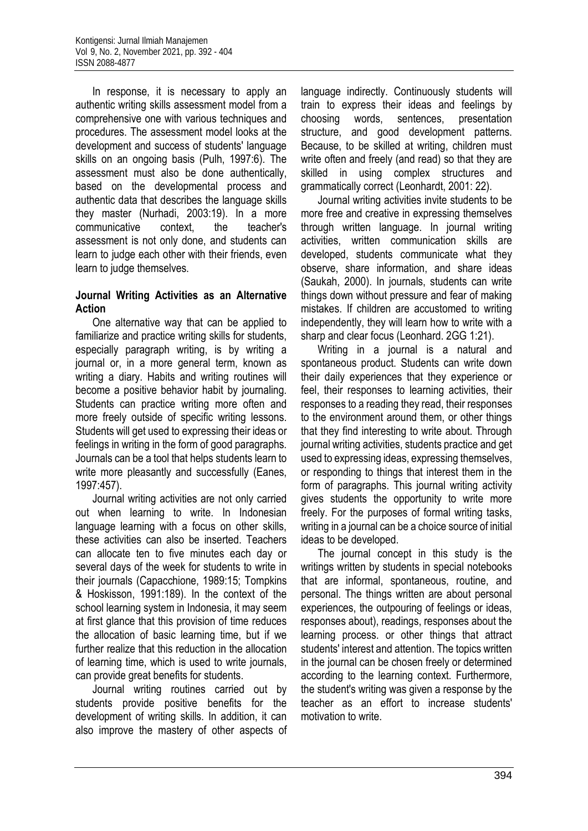In response, it is necessary to apply an authentic writing skills assessment model from a comprehensive one with various techniques and procedures. The assessment model looks at the development and success of students' language skills on an ongoing basis (Pulh, 1997:6). The assessment must also be done authentically, based on the developmental process and authentic data that describes the language skills they master (Nurhadi, 2003:19). In a more communicative context, the teacher's assessment is not only done, and students can learn to judge each other with their friends, even learn to judge themselves.

### **Journal Writing Activities as an Alternative Action**

One alternative way that can be applied to familiarize and practice writing skills for students, especially paragraph writing, is by writing a journal or, in a more general term, known as writing a diary. Habits and writing routines will become a positive behavior habit by journaling. Students can practice writing more often and more freely outside of specific writing lessons. Students will get used to expressing their ideas or feelings in writing in the form of good paragraphs. Journals can be a tool that helps students learn to write more pleasantly and successfully (Eanes, 1997:457).

Journal writing activities are not only carried out when learning to write. In Indonesian language learning with a focus on other skills, these activities can also be inserted. Teachers can allocate ten to five minutes each day or several days of the week for students to write in their journals (Capacchione, 1989:15; Tompkins & Hoskisson, 1991:189). In the context of the school learning system in Indonesia, it may seem at first glance that this provision of time reduces the allocation of basic learning time, but if we further realize that this reduction in the allocation of learning time, which is used to write journals, can provide great benefits for students.

Journal writing routines carried out by students provide positive benefits for the development of writing skills. In addition, it can also improve the mastery of other aspects of

language indirectly. Continuously students will train to express their ideas and feelings by choosing words, sentences, presentation structure, and good development patterns. Because, to be skilled at writing, children must write often and freely (and read) so that they are skilled in using complex structures and grammatically correct (Leonhardt, 2001: 22).

Journal writing activities invite students to be more free and creative in expressing themselves through written language. In journal writing activities, written communication skills are developed, students communicate what they observe, share information, and share ideas (Saukah, 2000). In journals, students can write things down without pressure and fear of making mistakes. If children are accustomed to writing independently, they will learn how to write with a sharp and clear focus (Leonhard. 2GG 1:21).

Writing in a journal is a natural and spontaneous product. Students can write down their daily experiences that they experience or feel, their responses to learning activities, their responses to a reading they read, their responses to the environment around them, or other things that they find interesting to write about. Through journal writing activities, students practice and get used to expressing ideas, expressing themselves, or responding to things that interest them in the form of paragraphs. This journal writing activity gives students the opportunity to write more freely. For the purposes of formal writing tasks, writing in a journal can be a choice source of initial ideas to be developed.

The journal concept in this study is the writings written by students in special notebooks that are informal, spontaneous, routine, and personal. The things written are about personal experiences, the outpouring of feelings or ideas, responses about), readings, responses about the learning process. or other things that attract students' interest and attention. The topics written in the journal can be chosen freely or determined according to the learning context. Furthermore, the student's writing was given a response by the teacher as an effort to increase students' motivation to write.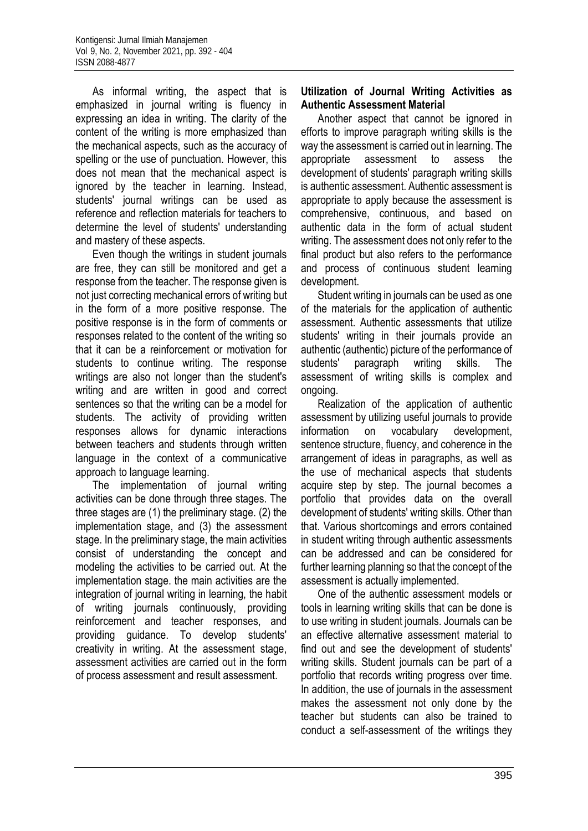As informal writing, the aspect that is emphasized in journal writing is fluency in expressing an idea in writing. The clarity of the content of the writing is more emphasized than the mechanical aspects, such as the accuracy of spelling or the use of punctuation. However, this does not mean that the mechanical aspect is ignored by the teacher in learning. Instead, students' journal writings can be used as reference and reflection materials for teachers to determine the level of students' understanding and mastery of these aspects.

Even though the writings in student journals are free, they can still be monitored and get a response from the teacher. The response given is not just correcting mechanical errors of writing but in the form of a more positive response. The positive response is in the form of comments or responses related to the content of the writing so that it can be a reinforcement or motivation for students to continue writing. The response writings are also not longer than the student's writing and are written in good and correct sentences so that the writing can be a model for students. The activity of providing written responses allows for dynamic interactions between teachers and students through written language in the context of a communicative approach to language learning.

The implementation of journal writing activities can be done through three stages. The three stages are (1) the preliminary stage. (2) the implementation stage, and (3) the assessment stage. In the preliminary stage, the main activities consist of understanding the concept and modeling the activities to be carried out. At the implementation stage. the main activities are the integration of journal writing in learning, the habit of writing journals continuously, providing reinforcement and teacher responses, and providing guidance. To develop students' creativity in writing. At the assessment stage, assessment activities are carried out in the form of process assessment and result assessment.

#### **Utilization of Journal Writing Activities as Authentic Assessment Material**

Another aspect that cannot be ignored in efforts to improve paragraph writing skills is the way the assessment is carried out in learning. The appropriate assessment to assess the development of students' paragraph writing skills is authentic assessment. Authentic assessment is appropriate to apply because the assessment is comprehensive, continuous, and based on authentic data in the form of actual student writing. The assessment does not only refer to the final product but also refers to the performance and process of continuous student learning development.

Student writing in journals can be used as one of the materials for the application of authentic assessment. Authentic assessments that utilize students' writing in their journals provide an authentic (authentic) picture of the performance of students' paragraph writing skills. The assessment of writing skills is complex and ongoing.

Realization of the application of authentic assessment by utilizing useful journals to provide information on vocabulary development, sentence structure, fluency, and coherence in the arrangement of ideas in paragraphs, as well as the use of mechanical aspects that students acquire step by step. The journal becomes a portfolio that provides data on the overall development of students' writing skills. Other than that. Various shortcomings and errors contained in student writing through authentic assessments can be addressed and can be considered for further learning planning so that the concept of the assessment is actually implemented.

One of the authentic assessment models or tools in learning writing skills that can be done is to use writing in student journals. Journals can be an effective alternative assessment material to find out and see the development of students' writing skills. Student journals can be part of a portfolio that records writing progress over time. In addition, the use of journals in the assessment makes the assessment not only done by the teacher but students can also be trained to conduct a self-assessment of the writings they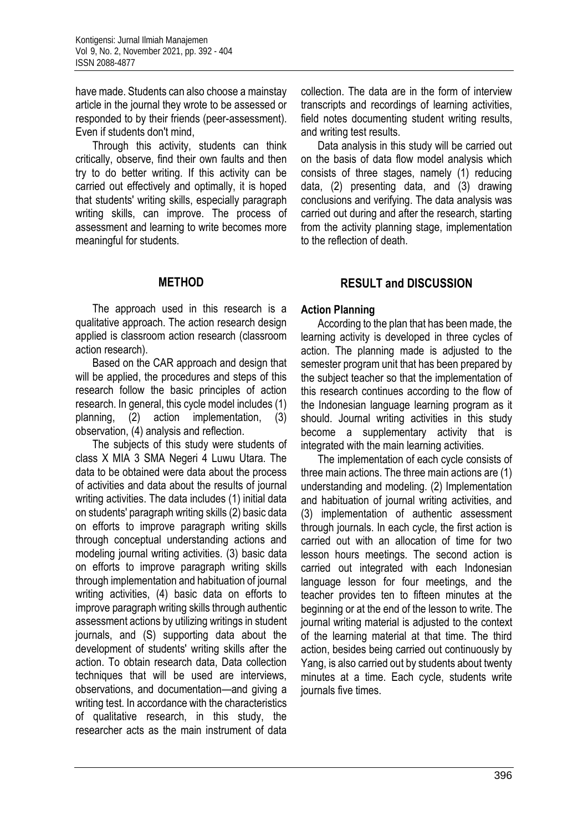have made. Students can also choose a mainstay article in the journal they wrote to be assessed or responded to by their friends (peer-assessment). Even if students don't mind,

Through this activity, students can think critically, observe, find their own faults and then try to do better writing. If this activity can be carried out effectively and optimally, it is hoped that students' writing skills, especially paragraph writing skills, can improve. The process of assessment and learning to write becomes more meaningful for students.

# **METHOD**

The approach used in this research is a qualitative approach. The action research design applied is classroom action research (classroom action research).

Based on the CAR approach and design that will be applied, the procedures and steps of this research follow the basic principles of action research. In general, this cycle model includes (1) planning, (2) action implementation, (3) observation, (4) analysis and reflection.

The subjects of this study were students of class X MIA 3 SMA Negeri 4 Luwu Utara. The data to be obtained were data about the process of activities and data about the results of journal writing activities. The data includes (1) initial data on students' paragraph writing skills (2) basic data on efforts to improve paragraph writing skills through conceptual understanding actions and modeling journal writing activities. (3) basic data on efforts to improve paragraph writing skills through implementation and habituation of journal writing activities, (4) basic data on efforts to improve paragraph writing skills through authentic assessment actions by utilizing writings in student journals, and (S) supporting data about the development of students' writing skills after the action. To obtain research data, Data collection techniques that will be used are interviews, observations, and documentation—and giving a writing test. In accordance with the characteristics of qualitative research, in this study, the researcher acts as the main instrument of data

collection. The data are in the form of interview transcripts and recordings of learning activities, field notes documenting student writing results, and writing test results.

Data analysis in this study will be carried out on the basis of data flow model analysis which consists of three stages, namely (1) reducing data, (2) presenting data, and (3) drawing conclusions and verifying. The data analysis was carried out during and after the research, starting from the activity planning stage, implementation to the reflection of death.

# **RESULT and DISCUSSION**

### **Action Planning**

According to the plan that has been made, the learning activity is developed in three cycles of action. The planning made is adjusted to the semester program unit that has been prepared by the subject teacher so that the implementation of this research continues according to the flow of the Indonesian language learning program as it should. Journal writing activities in this study become a supplementary activity that is integrated with the main learning activities.

The implementation of each cycle consists of three main actions. The three main actions are (1) understanding and modeling. (2) Implementation and habituation of journal writing activities, and (3) implementation of authentic assessment through journals. In each cycle, the first action is carried out with an allocation of time for two lesson hours meetings. The second action is carried out integrated with each Indonesian language lesson for four meetings, and the teacher provides ten to fifteen minutes at the beginning or at the end of the lesson to write. The journal writing material is adjusted to the context of the learning material at that time. The third action, besides being carried out continuously by Yang, is also carried out by students about twenty minutes at a time. Each cycle, students write journals five times.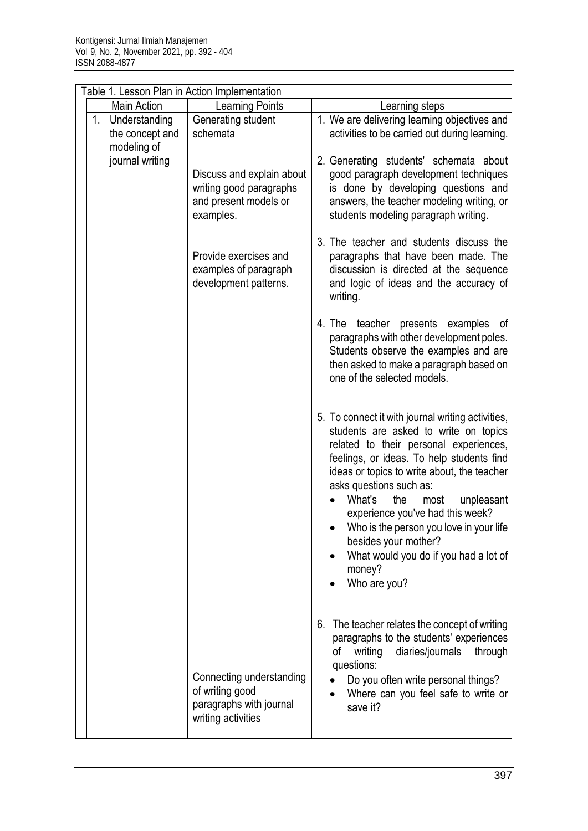| Table 1. Lesson Plan in Action Implementation      |                                                                                                                              |                                                                                                                                                                                                                                                                                                                                                                                                                                                                              |  |  |  |
|----------------------------------------------------|------------------------------------------------------------------------------------------------------------------------------|------------------------------------------------------------------------------------------------------------------------------------------------------------------------------------------------------------------------------------------------------------------------------------------------------------------------------------------------------------------------------------------------------------------------------------------------------------------------------|--|--|--|
| <b>Main Action</b>                                 | Learning Points                                                                                                              | Learning steps                                                                                                                                                                                                                                                                                                                                                                                                                                                               |  |  |  |
| 1. Understanding<br>the concept and<br>modeling of | Generating student<br>schemata<br>Discuss and explain about<br>writing good paragraphs<br>and present models or<br>examples. | 1. We are delivering learning objectives and<br>activities to be carried out during learning.                                                                                                                                                                                                                                                                                                                                                                                |  |  |  |
| journal writing                                    |                                                                                                                              | 2. Generating students' schemata about<br>good paragraph development techniques<br>is done by developing questions and<br>answers, the teacher modeling writing, or<br>students modeling paragraph writing.                                                                                                                                                                                                                                                                  |  |  |  |
|                                                    | Provide exercises and<br>examples of paragraph<br>development patterns.                                                      | 3. The teacher and students discuss the<br>paragraphs that have been made. The<br>discussion is directed at the sequence<br>and logic of ideas and the accuracy of<br>writing.                                                                                                                                                                                                                                                                                               |  |  |  |
|                                                    |                                                                                                                              | 4. The teacher presents examples<br>_of<br>paragraphs with other development poles.<br>Students observe the examples and are<br>then asked to make a paragraph based on<br>one of the selected models.                                                                                                                                                                                                                                                                       |  |  |  |
|                                                    |                                                                                                                              | 5. To connect it with journal writing activities,<br>students are asked to write on topics<br>related to their personal experiences,<br>feelings, or ideas. To help students find<br>ideas or topics to write about, the teacher<br>asks questions such as:<br>What's<br>the<br>most<br>unpleasant<br>experience you've had this week?<br>Who is the person you love in your life<br>besides your mother?<br>What would you do if you had a lot of<br>money?<br>Who are you? |  |  |  |
|                                                    | Connecting understanding<br>of writing good<br>paragraphs with journal<br>writing activities                                 | The teacher relates the concept of writing<br>6.<br>paragraphs to the students' experiences<br>diaries/journals<br>οf<br>writing<br>through<br>questions:<br>Do you often write personal things?<br>Where can you feel safe to write or<br>save it?                                                                                                                                                                                                                          |  |  |  |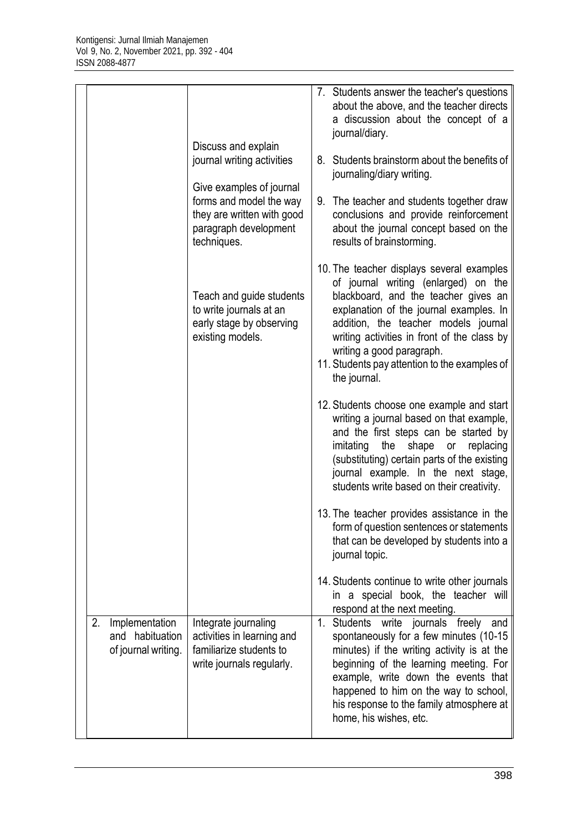|    |                                                          |                                                                                                                           |    | 7. Students answer the teacher's questions<br>about the above, and the teacher directs<br>a discussion about the concept of a<br>journal/diary.                                                                                                                                                                                                           |
|----|----------------------------------------------------------|---------------------------------------------------------------------------------------------------------------------------|----|-----------------------------------------------------------------------------------------------------------------------------------------------------------------------------------------------------------------------------------------------------------------------------------------------------------------------------------------------------------|
|    |                                                          | Discuss and explain<br>journal writing activities                                                                         |    | 8. Students brainstorm about the benefits of<br>journaling/diary writing.                                                                                                                                                                                                                                                                                 |
|    |                                                          | Give examples of journal<br>forms and model the way<br>they are written with good<br>paragraph development<br>techniques. |    | 9. The teacher and students together draw<br>conclusions and provide reinforcement<br>about the journal concept based on the<br>results of brainstorming.                                                                                                                                                                                                 |
|    |                                                          | Teach and guide students<br>to write journals at an<br>early stage by observing<br>existing models.                       |    | 10. The teacher displays several examples<br>of journal writing (enlarged) on the<br>blackboard, and the teacher gives an<br>explanation of the journal examples. In<br>addition, the teacher models journal<br>writing activities in front of the class by<br>writing a good paragraph.<br>11. Students pay attention to the examples of<br>the journal. |
|    |                                                          |                                                                                                                           |    | 12. Students choose one example and start<br>writing a journal based on that example,<br>and the first steps can be started by<br>imitating<br>the<br>shape<br>replacing<br>or<br>(substituting) certain parts of the existing<br>journal example. In the next stage,<br>students write based on their creativity.                                        |
|    |                                                          |                                                                                                                           |    | 13. The teacher provides assistance in the<br>form of question sentences or statements<br>that can be developed by students into a<br>journal topic.                                                                                                                                                                                                      |
|    |                                                          |                                                                                                                           |    | 14. Students continue to write other journals<br>in a special book, the teacher will<br>respond at the next meeting.                                                                                                                                                                                                                                      |
| 2. | Implementation<br>and habituation<br>of journal writing. | Integrate journaling<br>activities in learning and<br>familiarize students to<br>write journals regularly.                | 1. | <b>Students</b><br>write journals<br>freely<br>and<br>spontaneously for a few minutes (10-15<br>minutes) if the writing activity is at the<br>beginning of the learning meeting. For<br>example, write down the events that<br>happened to him on the way to school,<br>his response to the family atmosphere at<br>home, his wishes, etc.                |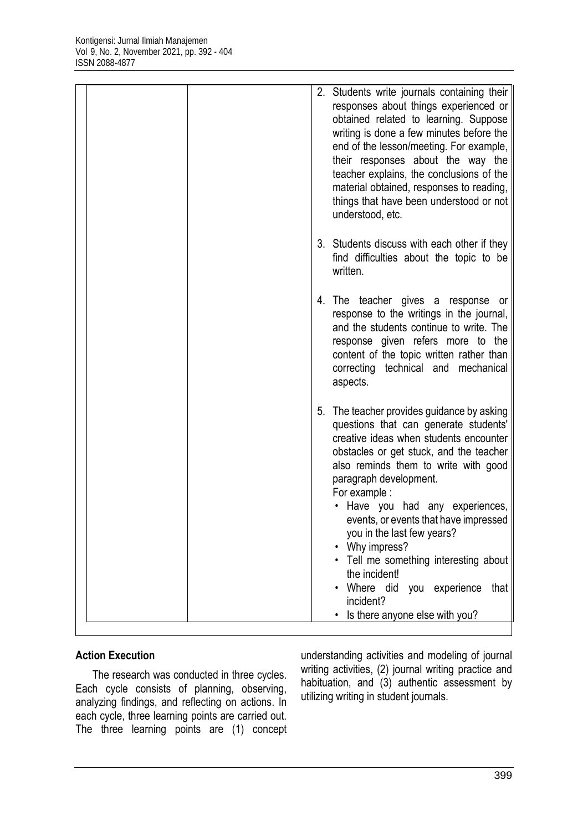| 2. Students write journals containing their<br>responses about things experienced or<br>obtained related to learning. Suppose<br>writing is done a few minutes before the<br>end of the lesson/meeting. For example,<br>their responses about the way the<br>teacher explains, the conclusions of the<br>material obtained, responses to reading,<br>things that have been understood or not<br>understood, etc.                                                                                                                     |
|--------------------------------------------------------------------------------------------------------------------------------------------------------------------------------------------------------------------------------------------------------------------------------------------------------------------------------------------------------------------------------------------------------------------------------------------------------------------------------------------------------------------------------------|
| 3. Students discuss with each other if they<br>find difficulties about the topic to be<br>written.                                                                                                                                                                                                                                                                                                                                                                                                                                   |
| 4. The teacher gives a response or<br>response to the writings in the journal,<br>and the students continue to write. The<br>response given refers more to the<br>content of the topic written rather than<br>correcting technical and mechanical<br>aspects.                                                                                                                                                                                                                                                                        |
| 5. The teacher provides guidance by asking<br>questions that can generate students'<br>creative ideas when students encounter<br>obstacles or get stuck, and the teacher<br>also reminds them to write with good<br>paragraph development.<br>For example :<br>• Have you had any experiences,<br>events, or events that have impressed<br>you in the last few years?<br>• Why impress?<br>• Tell me something interesting about<br>the incident!<br>Where did you experience<br>that<br>incident?<br>Is there anyone else with you? |

# **Action Execution**

The research was conducted in three cycles. Each cycle consists of planning, observing, analyzing findings, and reflecting on actions. In each cycle, three learning points are carried out. The three learning points are (1) concept

understanding activities and modeling of journal writing activities, (2) journal writing practice and habituation, and (3) authentic assessment by utilizing writing in student journals.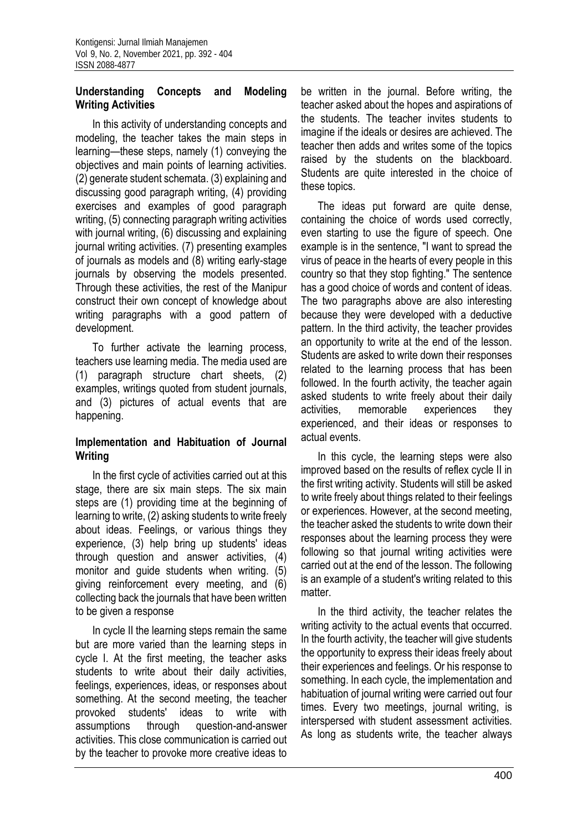### **Understanding Concepts and Modeling Writing Activities**

In this activity of understanding concepts and modeling, the teacher takes the main steps in learning—these steps, namely (1) conveying the objectives and main points of learning activities. (2) generate student schemata. (3) explaining and discussing good paragraph writing, (4) providing exercises and examples of good paragraph writing, (5) connecting paragraph writing activities with journal writing, (6) discussing and explaining journal writing activities. (7) presenting examples of journals as models and (8) writing early-stage journals by observing the models presented. Through these activities, the rest of the Manipur construct their own concept of knowledge about writing paragraphs with a good pattern of development.

To further activate the learning process, teachers use learning media. The media used are (1) paragraph structure chart sheets, (2) examples, writings quoted from student journals, and (3) pictures of actual events that are happening.

### **Implementation and Habituation of Journal Writing**

In the first cycle of activities carried out at this stage, there are six main steps. The six main steps are (1) providing time at the beginning of learning to write, (2) asking students to write freely about ideas. Feelings, or various things they experience, (3) help bring up students' ideas through question and answer activities, (4) monitor and guide students when writing. (5) giving reinforcement every meeting, and (6) collecting back the journals that have been written to be given a response

In cycle II the learning steps remain the same but are more varied than the learning steps in cycle I. At the first meeting, the teacher asks students to write about their daily activities, feelings, experiences, ideas, or responses about something. At the second meeting, the teacher provoked students' ideas to write with assumptions through question-and-answer activities. This close communication is carried out by the teacher to provoke more creative ideas to

be written in the journal. Before writing, the teacher asked about the hopes and aspirations of the students. The teacher invites students to imagine if the ideals or desires are achieved. The teacher then adds and writes some of the topics raised by the students on the blackboard. Students are quite interested in the choice of these topics.

The ideas put forward are quite dense, containing the choice of words used correctly, even starting to use the figure of speech. One example is in the sentence, "I want to spread the virus of peace in the hearts of every people in this country so that they stop fighting." The sentence has a good choice of words and content of ideas. The two paragraphs above are also interesting because they were developed with a deductive pattern. In the third activity, the teacher provides an opportunity to write at the end of the lesson. Students are asked to write down their responses related to the learning process that has been followed. In the fourth activity, the teacher again asked students to write freely about their daily activities, memorable experiences they experienced, and their ideas or responses to actual events.

In this cycle, the learning steps were also improved based on the results of reflex cycle II in the first writing activity. Students will still be asked to write freely about things related to their feelings or experiences. However, at the second meeting, the teacher asked the students to write down their responses about the learning process they were following so that journal writing activities were carried out at the end of the lesson. The following is an example of a student's writing related to this matter.

In the third activity, the teacher relates the writing activity to the actual events that occurred. In the fourth activity, the teacher will give students the opportunity to express their ideas freely about their experiences and feelings. Or his response to something. In each cycle, the implementation and habituation of journal writing were carried out four times. Every two meetings, journal writing, is interspersed with student assessment activities. As long as students write, the teacher always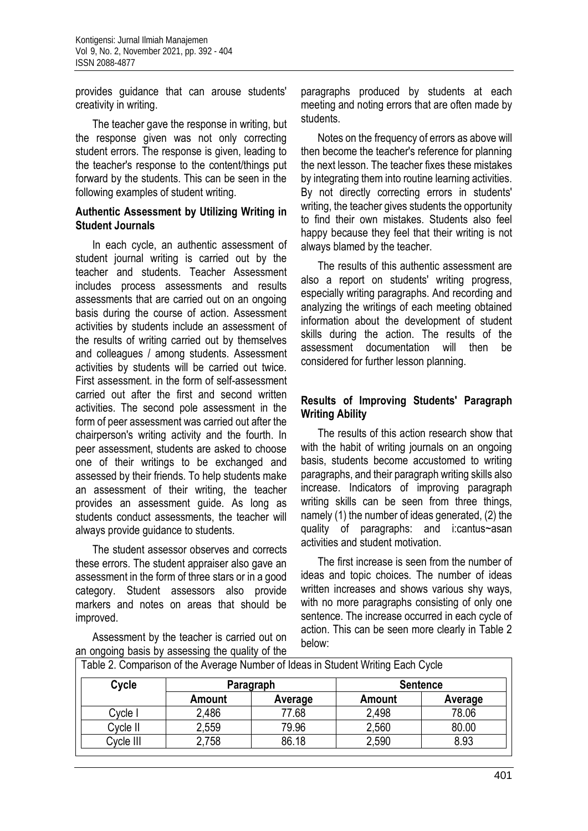provides guidance that can arouse students' creativity in writing.

The teacher gave the response in writing, but the response given was not only correcting student errors. The response is given, leading to the teacher's response to the content/things put forward by the students. This can be seen in the following examples of student writing.

#### **Authentic Assessment by Utilizing Writing in Student Journals**

In each cycle, an authentic assessment of student journal writing is carried out by the teacher and students. Teacher Assessment includes process assessments and results assessments that are carried out on an ongoing basis during the course of action. Assessment activities by students include an assessment of the results of writing carried out by themselves and colleagues / among students. Assessment activities by students will be carried out twice. First assessment. in the form of self-assessment carried out after the first and second written activities. The second pole assessment in the form of peer assessment was carried out after the chairperson's writing activity and the fourth. In peer assessment, students are asked to choose one of their writings to be exchanged and assessed by their friends. To help students make an assessment of their writing, the teacher provides an assessment guide. As long as students conduct assessments, the teacher will always provide guidance to students.

The student assessor observes and corrects these errors. The student appraiser also gave an assessment in the form of three stars or in a good category. Student assessors also provide markers and notes on areas that should be improved.

Assessment by the teacher is carried out on an ongoing basis by assessing the quality of the

paragraphs produced by students at each meeting and noting errors that are often made by students.

Notes on the frequency of errors as above will then become the teacher's reference for planning the next lesson. The teacher fixes these mistakes by integrating them into routine learning activities. By not directly correcting errors in students' writing, the teacher gives students the opportunity to find their own mistakes. Students also feel happy because they feel that their writing is not always blamed by the teacher.

The results of this authentic assessment are also a report on students' writing progress, especially writing paragraphs. And recording and analyzing the writings of each meeting obtained information about the development of student skills during the action. The results of the assessment documentation will then be considered for further lesson planning.

### **Results of Improving Students' Paragraph Writing Ability**

The results of this action research show that with the habit of writing journals on an ongoing basis, students become accustomed to writing paragraphs, and their paragraph writing skills also increase. Indicators of improving paragraph writing skills can be seen from three things, namely (1) the number of ideas generated, (2) the quality of paragraphs: and i:cantus~asan activities and student motivation.

The first increase is seen from the number of ideas and topic choices. The number of ideas written increases and shows various shy ways, with no more paragraphs consisting of only one sentence. The increase occurred in each cycle of action. This can be seen more clearly in Table 2 below:

| Cycle     | Paragraph     |         | <b>Sentence</b> |         |  |
|-----------|---------------|---------|-----------------|---------|--|
|           | <b>Amount</b> | Average | <b>Amount</b>   | Average |  |
| Cycle I   | 2,486         | 77.68   | 2,498           | 78.06   |  |
| Cycle II  | 2,559         | 79.96   | 2,560           | 80.00   |  |
| Cycle III | 2,758         | 86.18   | 2,590           | 8.93    |  |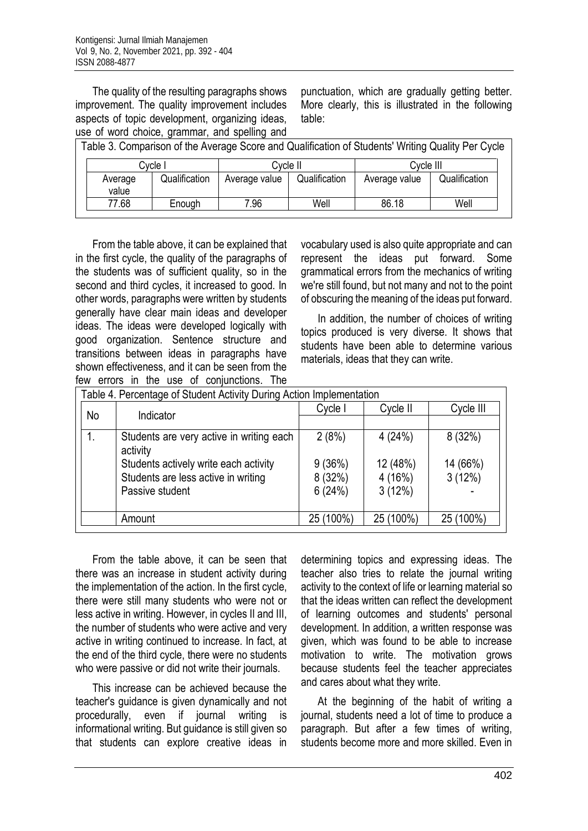The quality of the resulting paragraphs shows improvement. The quality improvement includes aspects of topic development, organizing ideas, use of word choice, grammar, and spelling and Table 3. Comparison of the Average Score and Qualification of Students' Writing Quality Per Cycle

punctuation, which are gradually getting better. More clearly, this is illustrated in the following table:

| Table J. Cumpansum of the Average Scule and Qualification of Students' Whiting Quality Fel Cycle |               |               |               |               |               |  |
|--------------------------------------------------------------------------------------------------|---------------|---------------|---------------|---------------|---------------|--|
| Cvcle I                                                                                          |               | Cvcle II      |               | Cvcle III     |               |  |
| Average<br>value                                                                                 | Qualification | Average value | Qualification | Average value | Qualification |  |
| 77.68                                                                                            | Enough        | 7.96          | Well          | 86.18         | Well          |  |

From the table above, it can be explained that in the first cycle, the quality of the paragraphs of the students was of sufficient quality, so in the second and third cycles, it increased to good. In other words, paragraphs were written by students generally have clear main ideas and developer ideas. The ideas were developed logically with good organization. Sentence structure and transitions between ideas in paragraphs have shown effectiveness, and it can be seen from the few errors in the use of conjunctions. The

vocabulary used is also quite appropriate and can represent the ideas put forward. Some grammatical errors from the mechanics of writing we're still found, but not many and not to the point of obscuring the meaning of the ideas put forward.

In addition, the number of choices of writing topics produced is very diverse. It shows that students have been able to determine various materials, ideas that they can write.

| Table 4. Percentage of Student Activity During Action Implementation |                                          |           |           |           |  |  |
|----------------------------------------------------------------------|------------------------------------------|-----------|-----------|-----------|--|--|
| <b>No</b>                                                            | Indicator                                | Cycle I   | Cycle II  | Cycle III |  |  |
|                                                                      |                                          |           |           |           |  |  |
|                                                                      | Students are very active in writing each | 2(8%)     | 4(24%)    | 8(32%)    |  |  |
|                                                                      | activity                                 |           |           |           |  |  |
|                                                                      | Students actively write each activity    | 9(36%)    | 12 (48%)  | 14 (66%)  |  |  |
|                                                                      | Students are less active in writing      | 8(32%)    | 4(16%)    | 3(12%)    |  |  |
|                                                                      | Passive student                          | 6(24%)    | 3(12%)    |           |  |  |
|                                                                      |                                          |           |           |           |  |  |
|                                                                      | Amount                                   | 25 (100%) | 25 (100%) | 25 (100%) |  |  |
|                                                                      |                                          |           |           |           |  |  |

From the table above, it can be seen that there was an increase in student activity during the implementation of the action. In the first cycle, there were still many students who were not or less active in writing. However, in cycles II and III, the number of students who were active and very active in writing continued to increase. In fact, at the end of the third cycle, there were no students who were passive or did not write their journals.

This increase can be achieved because the teacher's guidance is given dynamically and not procedurally, even if journal writing is informational writing. But guidance is still given so that students can explore creative ideas in

determining topics and expressing ideas. The teacher also tries to relate the journal writing activity to the context of life or learning material so that the ideas written can reflect the development of learning outcomes and students' personal development. In addition, a written response was given, which was found to be able to increase motivation to write. The motivation grows because students feel the teacher appreciates and cares about what they write.

At the beginning of the habit of writing a journal, students need a lot of time to produce a paragraph. But after a few times of writing, students become more and more skilled. Even in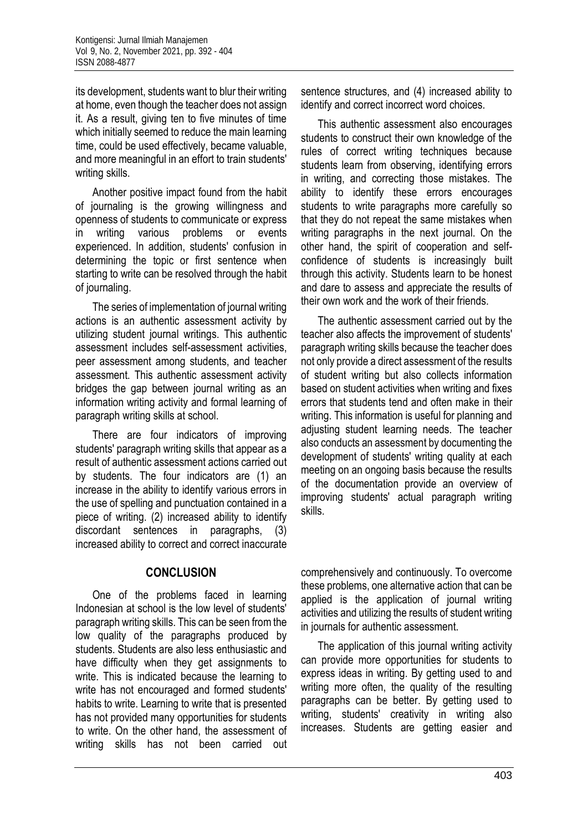its development, students want to blur their writing at home, even though the teacher does not assign it. As a result, giving ten to five minutes of time which initially seemed to reduce the main learning time, could be used effectively, became valuable, and more meaningful in an effort to train students' writing skills.

Another positive impact found from the habit of journaling is the growing willingness and openness of students to communicate or express in writing various problems or events experienced. In addition, students' confusion in determining the topic or first sentence when starting to write can be resolved through the habit of journaling.

The series of implementation of journal writing actions is an authentic assessment activity by utilizing student journal writings. This authentic assessment includes self-assessment activities, peer assessment among students, and teacher assessment. This authentic assessment activity bridges the gap between journal writing as an information writing activity and formal learning of paragraph writing skills at school.

There are four indicators of improving students' paragraph writing skills that appear as a result of authentic assessment actions carried out by students. The four indicators are (1) an increase in the ability to identify various errors in the use of spelling and punctuation contained in a piece of writing. (2) increased ability to identify discordant sentences in paragraphs, (3) increased ability to correct and correct inaccurate

### **CONCLUSION**

One of the problems faced in learning Indonesian at school is the low level of students' paragraph writing skills. This can be seen from the low quality of the paragraphs produced by students. Students are also less enthusiastic and have difficulty when they get assignments to write. This is indicated because the learning to write has not encouraged and formed students' habits to write. Learning to write that is presented has not provided many opportunities for students to write. On the other hand, the assessment of writing skills has not been carried out

sentence structures, and (4) increased ability to identify and correct incorrect word choices.

This authentic assessment also encourages students to construct their own knowledge of the rules of correct writing techniques because students learn from observing, identifying errors in writing, and correcting those mistakes. The ability to identify these errors encourages students to write paragraphs more carefully so that they do not repeat the same mistakes when writing paragraphs in the next journal. On the other hand, the spirit of cooperation and selfconfidence of students is increasingly built through this activity. Students learn to be honest and dare to assess and appreciate the results of their own work and the work of their friends.

The authentic assessment carried out by the teacher also affects the improvement of students' paragraph writing skills because the teacher does not only provide a direct assessment of the results of student writing but also collects information based on student activities when writing and fixes errors that students tend and often make in their writing. This information is useful for planning and adjusting student learning needs. The teacher also conducts an assessment by documenting the development of students' writing quality at each meeting on an ongoing basis because the results of the documentation provide an overview of improving students' actual paragraph writing skills.

comprehensively and continuously. To overcome these problems, one alternative action that can be applied is the application of journal writing activities and utilizing the results of student writing in journals for authentic assessment.

The application of this journal writing activity can provide more opportunities for students to express ideas in writing. By getting used to and writing more often, the quality of the resulting paragraphs can be better. By getting used to writing, students' creativity in writing also increases. Students are getting easier and